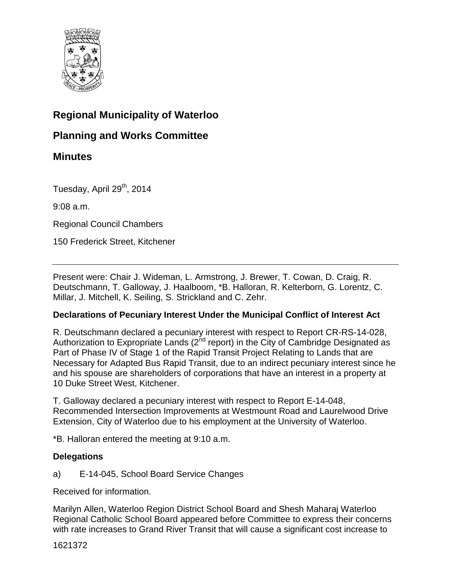

# **Regional Municipality of Waterloo**

# **Planning and Works Committee**

# **Minutes**

Tuesday, April 29<sup>th</sup>, 2014

9:08 a.m.

Regional Council Chambers

150 Frederick Street, Kitchener

Present were: Chair J. Wideman, L. Armstrong, J. Brewer, T. Cowan, D. Craig, R. Deutschmann, T. Galloway, J. Haalboom, \*B. Halloran, R. Kelterborn, G. Lorentz, C. Millar, J. Mitchell, K. Seiling, S. Strickland and C. Zehr.

# **Declarations of Pecuniary Interest Under the Municipal Conflict of Interest Act**

R. Deutschmann declared a pecuniary interest with respect to Report CR-RS-14-028, Authorization to Expropriate Lands ( $2<sup>nd</sup>$  report) in the City of Cambridge Designated as Part of Phase IV of Stage 1 of the Rapid Transit Project Relating to Lands that are Necessary for Adapted Bus Rapid Transit, due to an indirect pecuniary interest since he and his spouse are shareholders of corporations that have an interest in a property at 10 Duke Street West, Kitchener.

T. Galloway declared a pecuniary interest with respect to Report E-14-048, Recommended Intersection Improvements at Westmount Road and Laurelwood Drive Extension, City of Waterloo due to his employment at the University of Waterloo.

\*B. Halloran entered the meeting at 9:10 a.m.

# **Delegations**

a) E-14-045, School Board Service Changes

Received for information.

Marilyn Allen, Waterloo Region District School Board and Shesh Maharaj Waterloo Regional Catholic School Board appeared before Committee to express their concerns with rate increases to Grand River Transit that will cause a significant cost increase to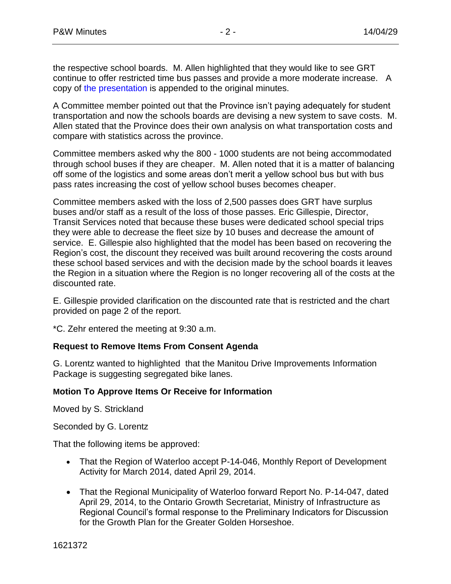the respective school boards. M. Allen highlighted that they would like to see GRT continue to offer restricted time bus passes and provide a more moderate increase. A copy o[f the presentation i](#page-14-0)s appended to the original minutes.

A Committee member pointed out that the Province isn't paying adequately for student transportation and now the schools boards are devising a new system to save costs. M. Allen stated that the Province does their own analysis on what transportation costs and compare with statistics across the province.

Committee members asked why the 800 - 1000 students are not being accommodated through school buses if they are cheaper. M. Allen noted that it is a matter of balancing off some of the logistics and some areas don't merit a yellow school bus but with bus pass rates increasing the cost of yellow school buses becomes cheaper.

Committee members asked with the loss of 2,500 passes does GRT have surplus buses and/or staff as a result of the loss of those passes. Eric Gillespie, Director, Transit Services noted that because these buses were dedicated school special trips they were able to decrease the fleet size by 10 buses and decrease the amount of service. E. Gillespie also highlighted that the model has been based on recovering the Region's cost, the discount they received was built around recovering the costs around these school based services and with the decision made by the school boards it leaves the Region in a situation where the Region is no longer recovering all of the costs at the discounted rate.

E. Gillespie provided clarification on the discounted rate that is restricted and the chart provided on page 2 of the report.

\*C. Zehr entered the meeting at 9:30 a.m.

# **Request to Remove Items From Consent Agenda**

G. Lorentz wanted to highlighted that the Manitou Drive Improvements Information Package is suggesting segregated bike lanes.

# **Motion To Approve Items Or Receive for Information**

Moved by S. Strickland

Seconded by G. Lorentz

That the following items be approved:

- That the Region of Waterloo accept P-14-046, Monthly Report of Development Activity for March 2014, dated April 29, 2014.
- That the Regional Municipality of Waterloo forward Report No. P-14-047, dated April 29, 2014, to the Ontario Growth Secretariat, Ministry of Infrastructure as Regional Council's formal response to the Preliminary Indicators for Discussion for the Growth Plan for the Greater Golden Horseshoe.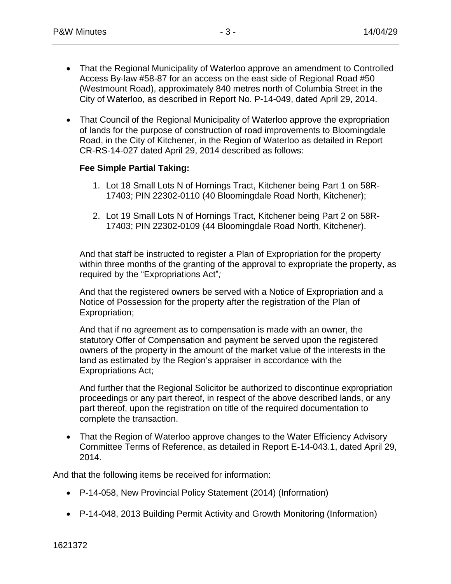- That the Regional Municipality of Waterloo approve an amendment to Controlled Access By-law #58-87 for an access on the east side of Regional Road #50 (Westmount Road), approximately 840 metres north of Columbia Street in the City of Waterloo, as described in Report No. P-14-049, dated April 29, 2014.
- That Council of the Regional Municipality of Waterloo approve the expropriation of lands for the purpose of construction of road improvements to Bloomingdale Road, in the City of Kitchener, in the Region of Waterloo as detailed in Report CR-RS-14-027 dated April 29, 2014 described as follows:

# **Fee Simple Partial Taking:**

- 1. Lot 18 Small Lots N of Hornings Tract, Kitchener being Part 1 on 58R-17403; PIN 22302-0110 (40 Bloomingdale Road North, Kitchener);
- 2. Lot 19 Small Lots N of Hornings Tract, Kitchener being Part 2 on 58R-17403; PIN 22302-0109 (44 Bloomingdale Road North, Kitchener).

And that staff be instructed to register a Plan of Expropriation for the property within three months of the granting of the approval to expropriate the property, as required by the "Expropriations Act"*;*

And that the registered owners be served with a Notice of Expropriation and a Notice of Possession for the property after the registration of the Plan of Expropriation;

And that if no agreement as to compensation is made with an owner, the statutory Offer of Compensation and payment be served upon the registered owners of the property in the amount of the market value of the interests in the land as estimated by the Region's appraiser in accordance with the Expropriations Act;

And further that the Regional Solicitor be authorized to discontinue expropriation proceedings or any part thereof, in respect of the above described lands, or any part thereof, upon the registration on title of the required documentation to complete the transaction.

• That the Region of Waterloo approve changes to the Water Efficiency Advisory Committee Terms of Reference, as detailed in Report E-14-043.1, dated April 29, 2014.

And that the following items be received for information:

- P-14-058, New Provincial Policy Statement (2014) (Information)
- P-14-048, 2013 Building Permit Activity and Growth Monitoring (Information)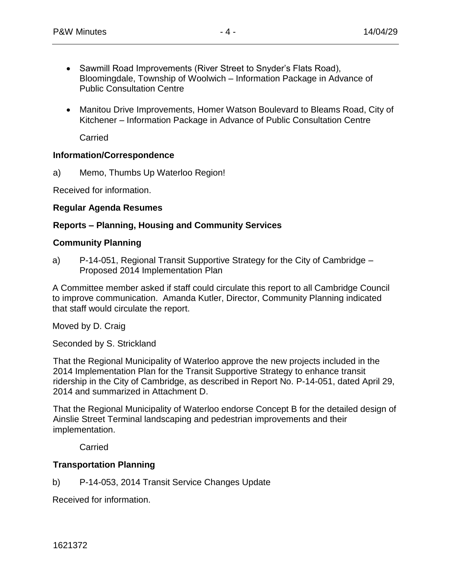- Sawmill Road Improvements (River Street to Snyder's Flats Road), Bloomingdale, Township of Woolwich – Information Package in Advance of Public Consultation Centre
- Manitou Drive Improvements, Homer Watson Boulevard to Bleams Road, City of Kitchener – Information Package in Advance of Public Consultation Centre

**Carried** 

# **Information/Correspondence**

a) Memo, Thumbs Up Waterloo Region!

Received for information.

# **Regular Agenda Resumes**

# **Reports – Planning, Housing and Community Services**

# **Community Planning**

a) P-14-051, Regional Transit Supportive Strategy for the City of Cambridge – Proposed 2014 Implementation Plan

A Committee member asked if staff could circulate this report to all Cambridge Council to improve communication. Amanda Kutler, Director, Community Planning indicated that staff would circulate the report.

Moved by D. Craig

Seconded by S. Strickland

That the Regional Municipality of Waterloo approve the new projects included in the 2014 Implementation Plan for the Transit Supportive Strategy to enhance transit ridership in the City of Cambridge, as described in Report No. P-14-051, dated April 29, 2014 and summarized in Attachment D.

That the Regional Municipality of Waterloo endorse Concept B for the detailed design of Ainslie Street Terminal landscaping and pedestrian improvements and their implementation.

Carried

# **Transportation Planning**

b) P-14-053, 2014 Transit Service Changes Update

Received for information.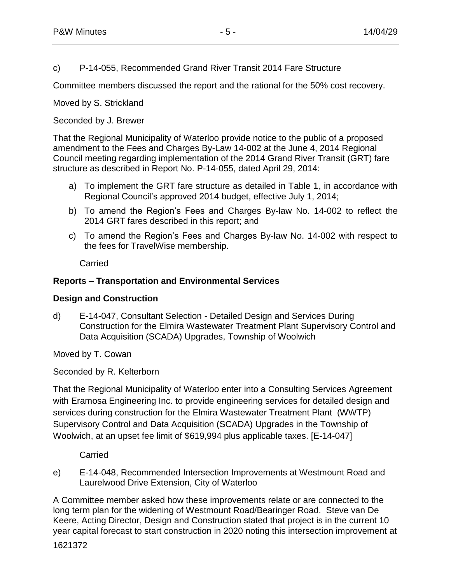c) P-14-055, Recommended Grand River Transit 2014 Fare Structure

Committee members discussed the report and the rational for the 50% cost recovery.

Moved by S. Strickland

# Seconded by J. Brewer

That the Regional Municipality of Waterloo provide notice to the public of a proposed amendment to the Fees and Charges By-Law 14-002 at the June 4, 2014 Regional Council meeting regarding implementation of the 2014 Grand River Transit (GRT) fare structure as described in Report No. P-14-055, dated April 29, 2014:

- a) To implement the GRT fare structure as detailed in Table 1, in accordance with Regional Council's approved 2014 budget, effective July 1, 2014;
- b) To amend the Region's Fees and Charges By-law No. 14-002 to reflect the 2014 GRT fares described in this report; and
- c) To amend the Region's Fees and Charges By-law No. 14-002 with respect to the fees for TravelWise membership.

**Carried** 

# **Reports – Transportation and Environmental Services**

#### **Design and Construction**

d) E-14-047, Consultant Selection - Detailed Design and Services During Construction for the Elmira Wastewater Treatment Plant Supervisory Control and Data Acquisition (SCADA) Upgrades, Township of Woolwich

Moved by T. Cowan

Seconded by R. Kelterborn

That the Regional Municipality of Waterloo enter into a Consulting Services Agreement with Eramosa Engineering Inc. to provide engineering services for detailed design and services during construction for the Elmira Wastewater Treatment Plant (WWTP) Supervisory Control and Data Acquisition (SCADA) Upgrades in the Township of Woolwich, at an upset fee limit of \$619,994 plus applicable taxes. [E-14-047]

Carried

e) E-14-048, Recommended Intersection Improvements at Westmount Road and Laurelwood Drive Extension, City of Waterloo

A Committee member asked how these improvements relate or are connected to the long term plan for the widening of Westmount Road/Bearinger Road. Steve van De Keere, Acting Director, Design and Construction stated that project is in the current 10 year capital forecast to start construction in 2020 noting this intersection improvement at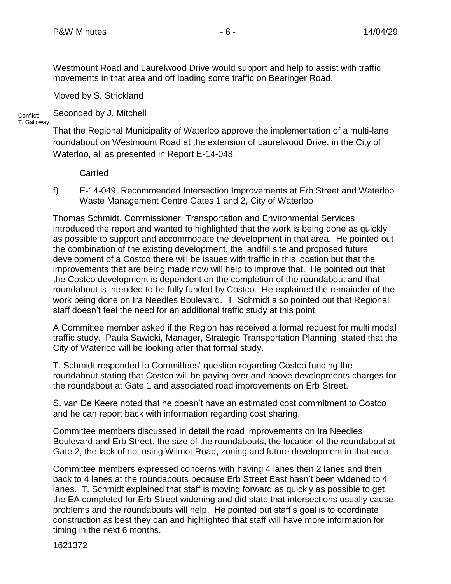Westmount Road and Laurelwood Drive would support and help to assist with traffic movements in that area and off loading some traffic on Bearinger Road.

Moved by S. Strickland

Seconded by J. Mitchell

Conflict: T. Galloway

That the Regional Municipality of Waterloo approve the implementation of a multi-lane roundabout on Westmount Road at the extension of Laurelwood Drive, in the City of Waterloo, all as presented in Report E-14-048.

Carried

f) E-14-049, Recommended Intersection Improvements at Erb Street and Waterloo Waste Management Centre Gates 1 and 2, City of Waterloo

Thomas Schmidt, Commissioner, Transportation and Environmental Services introduced the report and wanted to highlighted that the work is being done as quickly as possible to support and accommodate the development in that area. He pointed out the combination of the existing development, the landfill site and proposed future development of a Costco there will be issues with traffic in this location but that the improvements that are being made now will help to improve that. He pointed out that the Costco development is dependent on the completion of the roundabout and that roundabout is intended to be fully funded by Costco. He explained the remainder of the work being done on Ira Needles Boulevard. T. Schmidt also pointed out that Regional staff doesn't feel the need for an additional traffic study at this point.

A Committee member asked if the Region has received a formal request for multi modal traffic study. Paula Sawicki, Manager, Strategic Transportation Planning stated that the City of Waterloo will be looking after that formal study.

T. Schmidt responded to Committees' question regarding Costco funding the roundabout stating that Costco will be paying over and above developments charges for the roundabout at Gate 1 and associated road improvements on Erb Street.

S. van De Keere noted that he doesn't have an estimated cost commitment to Costco and he can report back with information regarding cost sharing.

Committee members discussed in detail the road improvements on Ira Needles Boulevard and Erb Street, the size of the roundabouts, the location of the roundabout at Gate 2, the lack of not using Wilmot Road, zoning and future development in that area.

Committee members expressed concerns with having 4 lanes then 2 lanes and then back to 4 lanes at the roundabouts because Erb Street East hasn't been widened to 4 lanes. T. Schmidt explained that staff is moving forward as quickly as possible to get the EA completed for Erb Street widening and did state that intersections usually cause problems and the roundabouts will help. He pointed out staff's goal is to coordinate construction as best they can and highlighted that staff will have more information for timing in the next 6 months.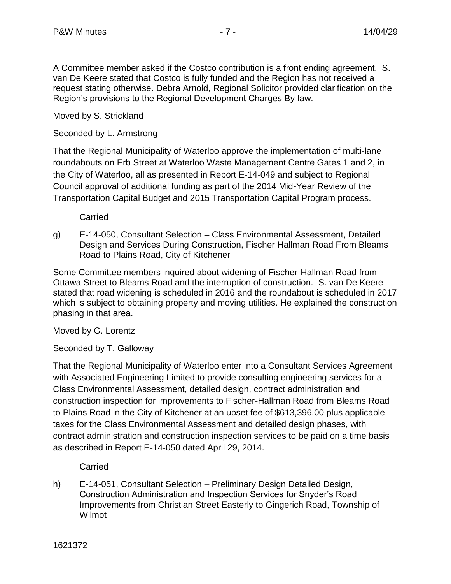A Committee member asked if the Costco contribution is a front ending agreement. S. van De Keere stated that Costco is fully funded and the Region has not received a request stating otherwise. Debra Arnold, Regional Solicitor provided clarification on the Region's provisions to the Regional Development Charges By-law.

Moved by S. Strickland

Seconded by L. Armstrong

That the Regional Municipality of Waterloo approve the implementation of multi-lane roundabouts on Erb Street at Waterloo Waste Management Centre Gates 1 and 2, in the City of Waterloo, all as presented in Report E-14-049 and subject to Regional Council approval of additional funding as part of the 2014 Mid-Year Review of the Transportation Capital Budget and 2015 Transportation Capital Program process.

**Carried** 

g) E-14-050, Consultant Selection – Class Environmental Assessment, Detailed Design and Services During Construction, Fischer Hallman Road From Bleams Road to Plains Road, City of Kitchener

Some Committee members inquired about widening of Fischer-Hallman Road from Ottawa Street to Bleams Road and the interruption of construction. S. van De Keere stated that road widening is scheduled in 2016 and the roundabout is scheduled in 2017 which is subject to obtaining property and moving utilities. He explained the construction phasing in that area.

Moved by G. Lorentz

Seconded by T. Galloway

That the Regional Municipality of Waterloo enter into a Consultant Services Agreement with Associated Engineering Limited to provide consulting engineering services for a Class Environmental Assessment, detailed design, contract administration and construction inspection for improvements to Fischer-Hallman Road from Bleams Road to Plains Road in the City of Kitchener at an upset fee of \$613,396.00 plus applicable taxes for the Class Environmental Assessment and detailed design phases, with contract administration and construction inspection services to be paid on a time basis as described in Report E-14-050 dated April 29, 2014.

Carried

h) E-14-051, Consultant Selection – Preliminary Design Detailed Design, Construction Administration and Inspection Services for Snyder's Road Improvements from Christian Street Easterly to Gingerich Road, Township of Wilmot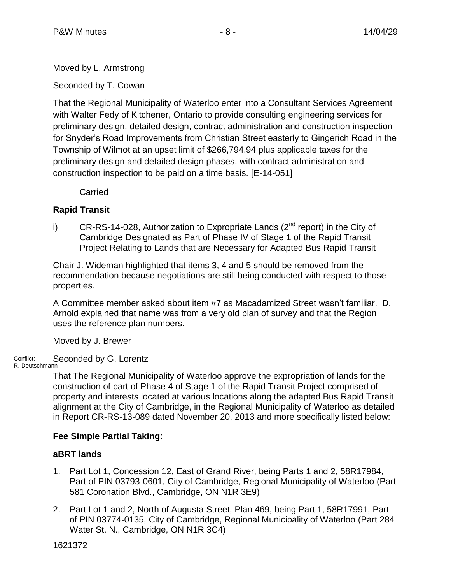Moved by L. Armstrong

Seconded by T. Cowan

That the Regional Municipality of Waterloo enter into a Consultant Services Agreement with Walter Fedy of Kitchener, Ontario to provide consulting engineering services for preliminary design, detailed design, contract administration and construction inspection for Snyder's Road Improvements from Christian Street easterly to Gingerich Road in the Township of Wilmot at an upset limit of \$266,794.94 plus applicable taxes for the preliminary design and detailed design phases, with contract administration and construction inspection to be paid on a time basis. [E-14-051]

**Carried** 

# **Rapid Transit**

i) CR-RS-14-028, Authorization to Expropriate Lands  $(2^{nd}$  report) in the City of Cambridge Designated as Part of Phase IV of Stage 1 of the Rapid Transit Project Relating to Lands that are Necessary for Adapted Bus Rapid Transit

Chair J. Wideman highlighted that items 3, 4 and 5 should be removed from the recommendation because negotiations are still being conducted with respect to those properties.

A Committee member asked about item #7 as Macadamized Street wasn't familiar. D. Arnold explained that name was from a very old plan of survey and that the Region uses the reference plan numbers.

Moved by J. Brewer

Conflict: Seconded by G. Lorentz

R. Deutschmann

That The Regional Municipality of Waterloo approve the expropriation of lands for the construction of part of Phase 4 of Stage 1 of the Rapid Transit Project comprised of property and interests located at various locations along the adapted Bus Rapid Transit alignment at the City of Cambridge, in the Regional Municipality of Waterloo as detailed in Report CR-RS-13-089 dated November 20, 2013 and more specifically listed below:

# **Fee Simple Partial Taking**:

# **aBRT lands**

- 1. Part Lot 1, Concession 12, East of Grand River, being Parts 1 and 2, 58R17984, Part of PIN 03793-0601, City of Cambridge, Regional Municipality of Waterloo (Part 581 Coronation Blvd., Cambridge, ON N1R 3E9)
- 2. Part Lot 1 and 2, North of Augusta Street, Plan 469, being Part 1, 58R17991, Part of PIN 03774-0135, City of Cambridge, Regional Municipality of Waterloo (Part 284 Water St. N., Cambridge, ON N1R 3C4)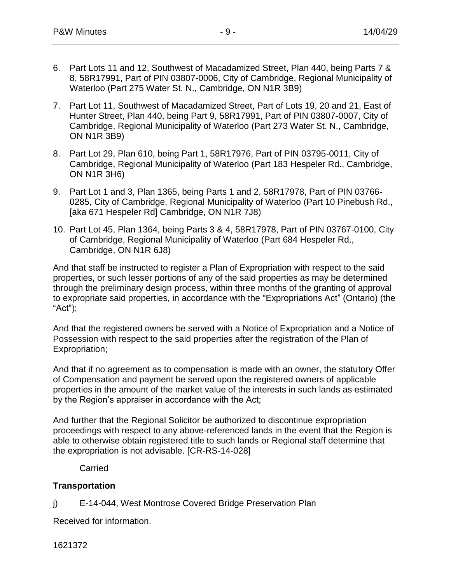- 6. Part Lots 11 and 12, Southwest of Macadamized Street, Plan 440, being Parts 7 & 8, 58R17991, Part of PIN 03807-0006, City of Cambridge, Regional Municipality of Waterloo (Part 275 Water St. N., Cambridge, ON N1R 3B9)
- 7. Part Lot 11, Southwest of Macadamized Street, Part of Lots 19, 20 and 21, East of Hunter Street, Plan 440, being Part 9, 58R17991, Part of PIN 03807-0007, City of Cambridge, Regional Municipality of Waterloo (Part 273 Water St. N., Cambridge, ON N1R 3B9)
- 8. Part Lot 29, Plan 610, being Part 1, 58R17976, Part of PIN 03795-0011, City of Cambridge, Regional Municipality of Waterloo (Part 183 Hespeler Rd., Cambridge, ON N1R 3H6)
- 9. Part Lot 1 and 3, Plan 1365, being Parts 1 and 2, 58R17978, Part of PIN 03766- 0285, City of Cambridge, Regional Municipality of Waterloo (Part 10 Pinebush Rd., [aka 671 Hespeler Rd] Cambridge, ON N1R 7J8)
- 10. Part Lot 45, Plan 1364, being Parts 3 & 4, 58R17978, Part of PIN 03767-0100, City of Cambridge, Regional Municipality of Waterloo (Part 684 Hespeler Rd., Cambridge, ON N1R 6J8)

And that staff be instructed to register a Plan of Expropriation with respect to the said properties, or such lesser portions of any of the said properties as may be determined through the preliminary design process, within three months of the granting of approval to expropriate said properties, in accordance with the "Expropriations Act" (Ontario) (the "Act");

And that the registered owners be served with a Notice of Expropriation and a Notice of Possession with respect to the said properties after the registration of the Plan of Expropriation;

And that if no agreement as to compensation is made with an owner, the statutory Offer of Compensation and payment be served upon the registered owners of applicable properties in the amount of the market value of the interests in such lands as estimated by the Region's appraiser in accordance with the Act;

And further that the Regional Solicitor be authorized to discontinue expropriation proceedings with respect to any above-referenced lands in the event that the Region is able to otherwise obtain registered title to such lands or Regional staff determine that the expropriation is not advisable. [CR-RS-14-028]

**Carried** 

# **Transportation**

j) E-14-044, West Montrose Covered Bridge Preservation Plan

Received for information.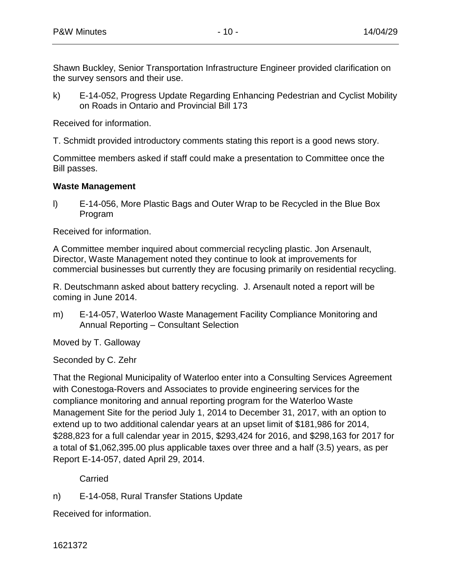Shawn Buckley, Senior Transportation Infrastructure Engineer provided clarification on the survey sensors and their use.

k) E-14-052, Progress Update Regarding Enhancing Pedestrian and Cyclist Mobility on Roads in Ontario and Provincial Bill 173

Received for information.

T. Schmidt provided introductory comments stating this report is a good news story.

Committee members asked if staff could make a presentation to Committee once the Bill passes.

# **Waste Management**

l) E-14-056, More Plastic Bags and Outer Wrap to be Recycled in the Blue Box Program

Received for information.

A Committee member inquired about commercial recycling plastic. Jon Arsenault, Director, Waste Management noted they continue to look at improvements for commercial businesses but currently they are focusing primarily on residential recycling.

R. Deutschmann asked about battery recycling. J. Arsenault noted a report will be coming in June 2014.

m) E-14-057, Waterloo Waste Management Facility Compliance Monitoring and Annual Reporting – Consultant Selection

Moved by T. Galloway

Seconded by C. Zehr

That the Regional Municipality of Waterloo enter into a Consulting Services Agreement with Conestoga-Rovers and Associates to provide engineering services for the compliance monitoring and annual reporting program for the Waterloo Waste Management Site for the period July 1, 2014 to December 31, 2017, with an option to extend up to two additional calendar years at an upset limit of \$181,986 for 2014, \$288,823 for a full calendar year in 2015, \$293,424 for 2016, and \$298,163 for 2017 for a total of \$1,062,395.00 plus applicable taxes over three and a half (3.5) years, as per Report E-14-057, dated April 29, 2014.

**Carried** 

n) E-14-058, Rural Transfer Stations Update

Received for information.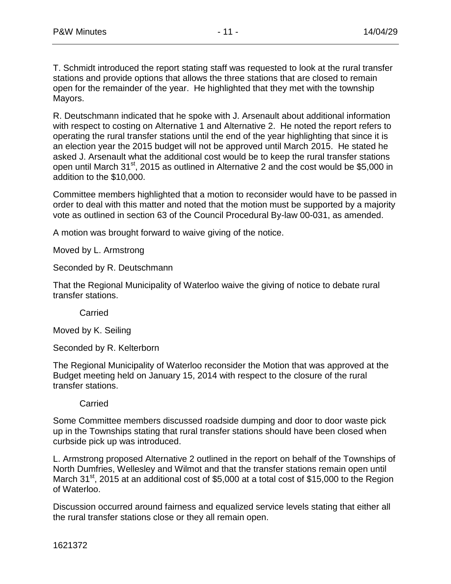T. Schmidt introduced the report stating staff was requested to look at the rural transfer stations and provide options that allows the three stations that are closed to remain open for the remainder of the year. He highlighted that they met with the township Mayors.

R. Deutschmann indicated that he spoke with J. Arsenault about additional information with respect to costing on Alternative 1 and Alternative 2. He noted the report refers to operating the rural transfer stations until the end of the year highlighting that since it is an election year the 2015 budget will not be approved until March 2015. He stated he asked J. Arsenault what the additional cost would be to keep the rural transfer stations open until March 31 $\mathrm{st}$ , 2015 as outlined in Alternative 2 and the cost would be \$5,000 in addition to the \$10,000.

Committee members highlighted that a motion to reconsider would have to be passed in order to deal with this matter and noted that the motion must be supported by a majority vote as outlined in section 63 of the Council Procedural By-law 00-031, as amended.

A motion was brought forward to waive giving of the notice.

Moved by L. Armstrong

Seconded by R. Deutschmann

That the Regional Municipality of Waterloo waive the giving of notice to debate rural transfer stations.

**Carried** 

Moved by K. Seiling

Seconded by R. Kelterborn

The Regional Municipality of Waterloo reconsider the Motion that was approved at the Budget meeting held on January 15, 2014 with respect to the closure of the rural transfer stations.

#### **Carried**

Some Committee members discussed roadside dumping and door to door waste pick up in the Townships stating that rural transfer stations should have been closed when curbside pick up was introduced.

L. Armstrong proposed Alternative 2 outlined in the report on behalf of the Townships of North Dumfries, Wellesley and Wilmot and that the transfer stations remain open until March  $31<sup>st</sup>$ , 2015 at an additional cost of \$5,000 at a total cost of \$15,000 to the Region of Waterloo.

Discussion occurred around fairness and equalized service levels stating that either all the rural transfer stations close or they all remain open.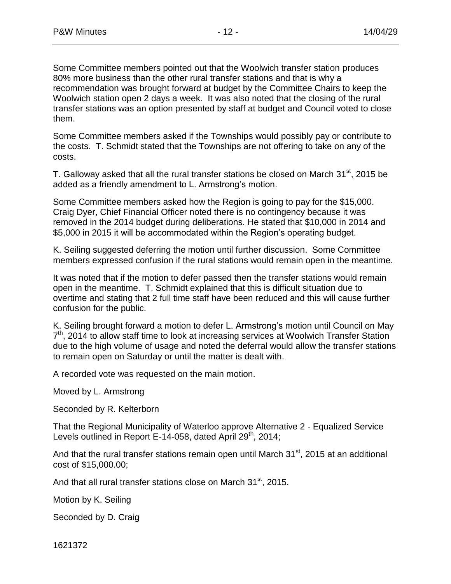Some Committee members pointed out that the Woolwich transfer station produces 80% more business than the other rural transfer stations and that is why a recommendation was brought forward at budget by the Committee Chairs to keep the Woolwich station open 2 days a week. It was also noted that the closing of the rural transfer stations was an option presented by staff at budget and Council voted to close them.

Some Committee members asked if the Townships would possibly pay or contribute to the costs. T. Schmidt stated that the Townships are not offering to take on any of the costs.

T. Galloway asked that all the rural transfer stations be closed on March  $31<sup>st</sup>$ , 2015 be added as a friendly amendment to L. Armstrong's motion.

Some Committee members asked how the Region is going to pay for the \$15,000. Craig Dyer, Chief Financial Officer noted there is no contingency because it was removed in the 2014 budget during deliberations. He stated that \$10,000 in 2014 and \$5,000 in 2015 it will be accommodated within the Region's operating budget.

K. Seiling suggested deferring the motion until further discussion. Some Committee members expressed confusion if the rural stations would remain open in the meantime.

It was noted that if the motion to defer passed then the transfer stations would remain open in the meantime. T. Schmidt explained that this is difficult situation due to overtime and stating that 2 full time staff have been reduced and this will cause further confusion for the public.

K. Seiling brought forward a motion to defer L. Armstrong's motion until Council on May 7<sup>th</sup>, 2014 to allow staff time to look at increasing services at Woolwich Transfer Station due to the high volume of usage and noted the deferral would allow the transfer stations to remain open on Saturday or until the matter is dealt with.

A recorded vote was requested on the main motion.

Moved by L. Armstrong

Seconded by R. Kelterborn

That the Regional Municipality of Waterloo approve Alternative 2 - Equalized Service Levels outlined in Report E-14-058, dated April  $29<sup>th</sup>$ , 2014;

And that the rural transfer stations remain open until March  $31<sup>st</sup>$ , 2015 at an additional cost of \$15,000.00;

And that all rural transfer stations close on March  $31<sup>st</sup>$ , 2015.

Motion by K. Seiling

Seconded by D. Craig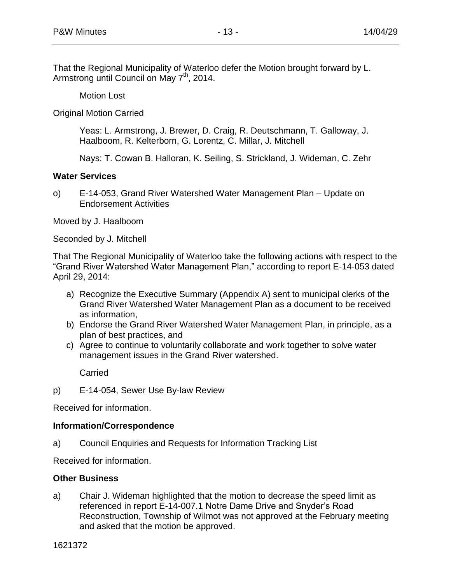That the Regional Municipality of Waterloo defer the Motion brought forward by L. Armstrong until Council on May  $7<sup>th</sup>$ , 2014.

Motion Lost

Original Motion Carried

Yeas: L. Armstrong, J. Brewer, D. Craig, R. Deutschmann, T. Galloway, J. Haalboom, R. Kelterborn, G. Lorentz, C. Millar, J. Mitchell

Nays: T. Cowan B. Halloran, K. Seiling, S. Strickland, J. Wideman, C. Zehr

# **Water Services**

o) E-14-053, Grand River Watershed Water Management Plan – Update on Endorsement Activities

Moved by J. Haalboom

Seconded by J. Mitchell

That The Regional Municipality of Waterloo take the following actions with respect to the "Grand River Watershed Water Management Plan," according to report E-14-053 dated April 29, 2014:

- a) Recognize the Executive Summary (Appendix A) sent to municipal clerks of the Grand River Watershed Water Management Plan as a document to be received as information,
- b) Endorse the Grand River Watershed Water Management Plan, in principle, as a plan of best practices, and
- c) Agree to continue to voluntarily collaborate and work together to solve water management issues in the Grand River watershed.

**Carried** 

p) E-14-054, Sewer Use By-law Review

Received for information.

# **Information/Correspondence**

a) Council Enquiries and Requests for Information Tracking List

Received for information.

# **Other Business**

a) Chair J. Wideman highlighted that the motion to decrease the speed limit as referenced in report E-14-007.1 Notre Dame Drive and Snyder's Road Reconstruction, Township of Wilmot was not approved at the February meeting and asked that the motion be approved.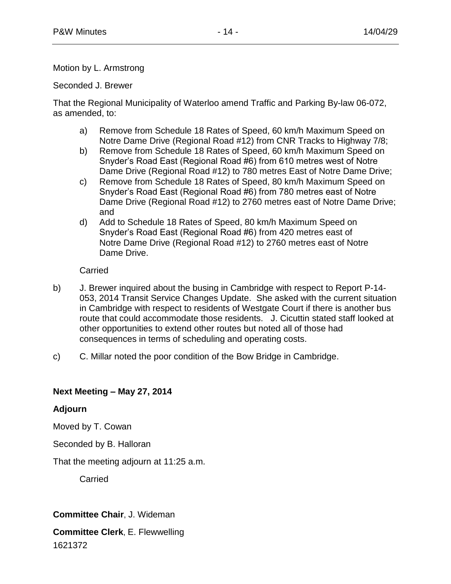# Motion by L. Armstrong

Seconded J. Brewer

That the Regional Municipality of Waterloo amend Traffic and Parking By-law 06-072, as amended, to:

- a) Remove from Schedule 18 Rates of Speed, 60 km/h Maximum Speed on Notre Dame Drive (Regional Road #12) from CNR Tracks to Highway 7/8;
- b) Remove from Schedule 18 Rates of Speed, 60 km/h Maximum Speed on Snyder's Road East (Regional Road #6) from 610 metres west of Notre Dame Drive (Regional Road #12) to 780 metres East of Notre Dame Drive;
- c) Remove from Schedule 18 Rates of Speed, 80 km/h Maximum Speed on Snyder's Road East (Regional Road #6) from 780 metres east of Notre Dame Drive (Regional Road #12) to 2760 metres east of Notre Dame Drive; and
- d) Add to Schedule 18 Rates of Speed, 80 km/h Maximum Speed on Snyder's Road East (Regional Road #6) from 420 metres east of Notre Dame Drive (Regional Road #12) to 2760 metres east of Notre Dame Drive.

Carried

- b) J. Brewer inquired about the busing in Cambridge with respect to Report P-14- 053, 2014 Transit Service Changes Update. She asked with the current situation in Cambridge with respect to residents of Westgate Court if there is another bus route that could accommodate those residents. J. Cicuttin stated staff looked at other opportunities to extend other routes but noted all of those had consequences in terms of scheduling and operating costs.
- c) C. Millar noted the poor condition of the Bow Bridge in Cambridge.

# **Next Meeting – May 27, 2014**

# **Adjourn**

Moved by T. Cowan

Seconded by B. Halloran

That the meeting adjourn at 11:25 a.m.

**Carried** 

# **Committee Chair**, J. Wideman

1621372 **Committee Clerk**, E. Flewwelling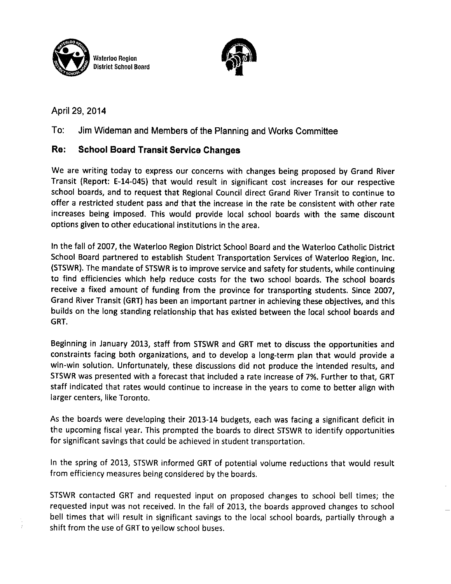



April 29, 2014

#### To: Jim Wideman and Members of the Planning and Works Committee

#### Re: **School Board Transit Service Changes**

We are writing today to express our concerns with changes being proposed by Grand River Transit (Report: E-14-045) that would result in significant cost increases for our respective school boards, and to request that Regional Council direct Grand River Transit to continue to offer a restricted student pass and that the increase in the rate be consistent with other rate increases being imposed. This would provide local school boards with the same discount options given to other educational institutions in the area.

In the fall of 2007, the Waterloo Region District School Board and the Waterloo Catholic District School Board partnered to establish Student Transportation Services of Waterloo Region, Inc. (STSWR). The mandate of STSWR is to improve service and safety for students, while continuing to find efficiencies which help reduce costs for the two school boards. The school boards receive a fixed amount of funding from the province for transporting students. Since 2007, Grand River Transit (GRT) has been an important partner in achieving these objectives, and this builds on the long standing relationship that has existed between the local school boards and GRT.

Beginning in January 2013, staff from STSWR and GRT met to discuss the opportunities and constraints facing both organizations, and to develop a long-term plan that would provide a win-win solution. Unfortunately, these discussions did not produce the intended results, and STSWR was presented with a forecast that included a rate increase of 7%. Further to that, GRT staff indicated that rates would continue to increase in the years to come to better align with larger centers, like Toronto.

As the boards were developing their 2013-14 budgets, each was facing a significant deficit in the upcoming fiscal year. This prompted the boards to direct STSWR to identify opportunities for significant savings that could be achieved in student transportation.

In the spring of 2013, STSWR informed GRT of potential volume reductions that would result from efficiency measures being considered by the boards.

STSWR contacted GRT and requested input on proposed changes to school bell times; the requested input was not received. In the fall of 2013, the boards approved changes to school bell times that will result in significant savings to the local school boards, partially through a shift from the use of GRT to yellow school buses.